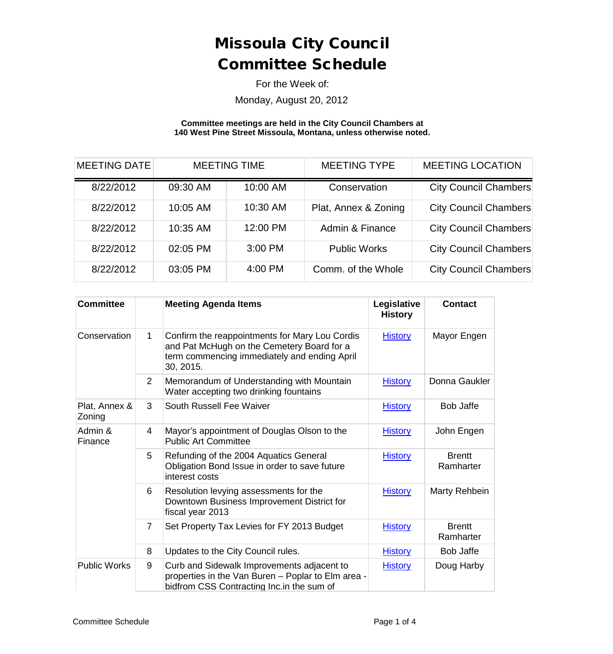For the Week of:

Monday, August 20, 2012

#### **Committee meetings are held in the City Council Chambers at 140 West Pine Street Missoula, Montana, unless otherwise noted.**

| <b>MEETING DATE</b> | <b>MEETING TIME</b> |          | <b>MEETING TYPE</b>  |                              |  | <b>MEETING LOCATION</b> |  |
|---------------------|---------------------|----------|----------------------|------------------------------|--|-------------------------|--|
| 8/22/2012           | 09:30 AM            | 10:00 AM | Conservation         | <b>City Council Chambers</b> |  |                         |  |
| 8/22/2012           | 10:05 AM            | 10:30 AM | Plat, Annex & Zoning | <b>City Council Chambers</b> |  |                         |  |
| 8/22/2012           | 10:35 AM            | 12:00 PM | Admin & Finance      | <b>City Council Chambers</b> |  |                         |  |
| 8/22/2012           | 02:05 PM            | 3:00 PM  | <b>Public Works</b>  | <b>City Council Chambers</b> |  |                         |  |
| 8/22/2012           | 03:05 PM            | 4:00 PM  | Comm. of the Whole   | <b>City Council Chambers</b> |  |                         |  |

| <b>Committee</b>        |                | <b>Meeting Agenda Items</b>                                                                                                                               | Legislative<br><b>History</b> | <b>Contact</b>             |
|-------------------------|----------------|-----------------------------------------------------------------------------------------------------------------------------------------------------------|-------------------------------|----------------------------|
| Conservation            | $\mathbf{1}$   | Confirm the reappointments for Mary Lou Cordis<br>and Pat McHugh on the Cemetery Board for a<br>term commencing immediately and ending April<br>30, 2015. | <b>History</b>                | Mayor Engen                |
|                         | $\overline{2}$ | Memorandum of Understanding with Mountain<br>Water accepting two drinking fountains                                                                       | <b>History</b>                | Donna Gaukler              |
| Plat, Annex &<br>Zoning | 3              | South Russell Fee Waiver                                                                                                                                  | <b>History</b>                | <b>Bob Jaffe</b>           |
| Admin &<br>Finance      | 4              | Mayor's appointment of Douglas Olson to the<br><b>Public Art Committee</b>                                                                                | <b>History</b>                | John Engen                 |
|                         | 5              | Refunding of the 2004 Aquatics General<br>Obligation Bond Issue in order to save future<br>interest costs                                                 | <b>History</b>                | <b>Brentt</b><br>Ramharter |
|                         | 6              | Resolution levying assessments for the<br>Downtown Business Improvement District for<br>fiscal year 2013                                                  | <b>History</b>                | Marty Rehbein              |
|                         | $\overline{7}$ | Set Property Tax Levies for FY 2013 Budget                                                                                                                | <b>History</b>                | <b>Brentt</b><br>Ramharter |
|                         | 8              | Updates to the City Council rules.                                                                                                                        | <b>History</b>                | <b>Bob Jaffe</b>           |
| <b>Public Works</b>     | 9              | Curb and Sidewalk Improvements adjacent to<br>properties in the Van Buren - Poplar to Elm area -<br>bidfrom CSS Contracting Inc. in the sum of            | <b>History</b>                | Doug Harby                 |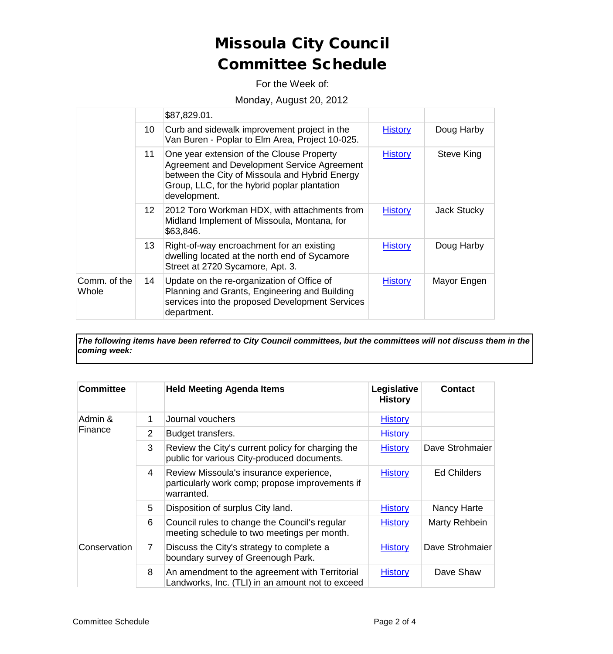For the Week of:

#### Monday, August 20, 2012

|                       |                  | \$87,829.01.                                                                                                                                                                                               |                |             |
|-----------------------|------------------|------------------------------------------------------------------------------------------------------------------------------------------------------------------------------------------------------------|----------------|-------------|
|                       | 10               | Curb and sidewalk improvement project in the<br>Van Buren - Poplar to Elm Area, Project 10-025.                                                                                                            | <b>History</b> | Doug Harby  |
|                       | 11               | One year extension of the Clouse Property<br>Agreement and Development Service Agreement<br>between the City of Missoula and Hybrid Energy<br>Group, LLC, for the hybrid poplar plantation<br>development. | <b>History</b> | Steve King  |
|                       | 12 <sup>12</sup> | 2012 Toro Workman HDX, with attachments from<br>Midland Implement of Missoula, Montana, for<br>\$63,846.                                                                                                   | <b>History</b> | Jack Stucky |
|                       | 13 <sup>1</sup>  | Right-of-way encroachment for an existing<br>dwelling located at the north end of Sycamore<br>Street at 2720 Sycamore, Apt. 3.                                                                             | <b>History</b> | Doug Harby  |
| Comm. of the<br>Whole | 14               | Update on the re-organization of Office of<br>Planning and Grants, Engineering and Building<br>services into the proposed Development Services<br>department.                                              | <b>History</b> | Mayor Engen |

*The following items have been referred to City Council committees, but the committees will not discuss them in the coming week:*

| Committee          |                | <b>Held Meeting Agenda Items</b>                                                                         | Legislative<br><b>History</b> | <b>Contact</b>     |
|--------------------|----------------|----------------------------------------------------------------------------------------------------------|-------------------------------|--------------------|
| Admin &<br>Finance | 1              | Journal vouchers                                                                                         | <b>History</b>                |                    |
|                    | $\overline{2}$ | Budget transfers.                                                                                        | <b>History</b>                |                    |
|                    | 3              | Review the City's current policy for charging the<br>public for various City-produced documents.         | <b>History</b>                | Dave Strohmaier    |
|                    | 4              | Review Missoula's insurance experience,<br>particularly work comp; propose improvements if<br>warranted. | <b>History</b>                | <b>Ed Childers</b> |
|                    | 5              | Disposition of surplus City land.                                                                        | <b>History</b>                | Nancy Harte        |
|                    | 6              | Council rules to change the Council's regular<br>meeting schedule to two meetings per month.             | <b>History</b>                | Marty Rehbein      |
| Conservation       | $\overline{7}$ | Discuss the City's strategy to complete a<br>boundary survey of Greenough Park.                          | <b>History</b>                | Dave Strohmaier    |
|                    | 8              | An amendment to the agreement with Territorial<br>Landworks, Inc. (TLI) in an amount not to exceed       | <b>History</b>                | Dave Shaw          |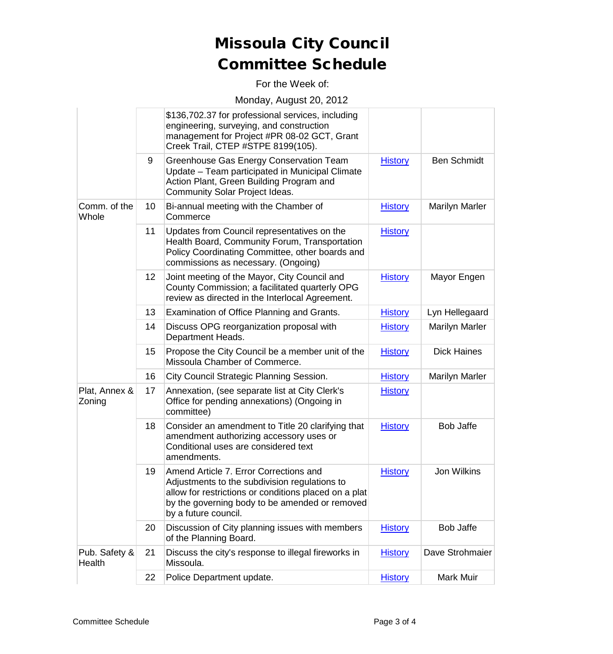For the Week of:

#### Monday, August 20, 2012

|                         |                 | \$136,702.37 for professional services, including<br>engineering, surveying, and construction<br>management for Project #PR 08-02 GCT, Grant<br>Creek Trail, CTEP #STPE 8199(105).                                         |                |                       |
|-------------------------|-----------------|----------------------------------------------------------------------------------------------------------------------------------------------------------------------------------------------------------------------------|----------------|-----------------------|
|                         | 9               | Greenhouse Gas Energy Conservation Team<br>Update - Team participated in Municipal Climate<br>Action Plant, Green Building Program and<br>Community Solar Project Ideas.                                                   | <b>History</b> | <b>Ben Schmidt</b>    |
| Comm. of the<br>Whole   | 10              | Bi-annual meeting with the Chamber of<br>Commerce                                                                                                                                                                          | <b>History</b> | <b>Marilyn Marler</b> |
|                         | 11              | Updates from Council representatives on the<br>Health Board, Community Forum, Transportation<br>Policy Coordinating Committee, other boards and<br>commissions as necessary. (Ongoing)                                     | <b>History</b> |                       |
|                         | 12 <sup>2</sup> | Joint meeting of the Mayor, City Council and<br>County Commission; a facilitated quarterly OPG<br>review as directed in the Interlocal Agreement.                                                                          | <b>History</b> | Mayor Engen           |
|                         | 13              | Examination of Office Planning and Grants.                                                                                                                                                                                 | <b>History</b> | Lyn Hellegaard        |
|                         | 14              | Discuss OPG reorganization proposal with<br>Department Heads.                                                                                                                                                              | <b>History</b> | <b>Marilyn Marler</b> |
|                         | 15              | Propose the City Council be a member unit of the<br>Missoula Chamber of Commerce.                                                                                                                                          | <b>History</b> | <b>Dick Haines</b>    |
|                         | 16              | City Council Strategic Planning Session.                                                                                                                                                                                   | <b>History</b> | <b>Marilyn Marler</b> |
| Plat, Annex &<br>Zoning | 17              | Annexation, (see separate list at City Clerk's<br>Office for pending annexations) (Ongoing in<br>committee)                                                                                                                | <b>History</b> |                       |
|                         | 18              | Consider an amendment to Title 20 clarifying that<br>amendment authorizing accessory uses or<br>Conditional uses are considered text<br>amendments.                                                                        | <b>History</b> | <b>Bob Jaffe</b>      |
|                         | 19              | Amend Article 7. Error Corrections and<br>Adjustments to the subdivision regulations to<br>allow for restrictions or conditions placed on a plat<br>by the governing body to be amended or removed<br>by a future council. | <b>History</b> | <b>Jon Wilkins</b>    |
|                         | 20              | Discussion of City planning issues with members<br>of the Planning Board.                                                                                                                                                  | <b>History</b> | <b>Bob Jaffe</b>      |
| Pub. Safety &<br>Health | 21              | Discuss the city's response to illegal fireworks in<br>Missoula.                                                                                                                                                           | <b>History</b> | Dave Strohmaier       |
|                         | 22              | Police Department update.                                                                                                                                                                                                  | <b>History</b> | Mark Muir             |